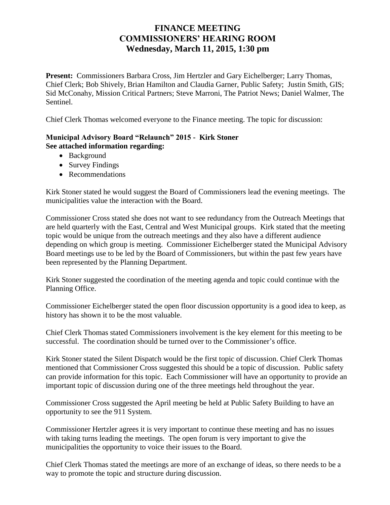## **FINANCE MEETING COMMISSIONERS' HEARING ROOM Wednesday, March 11, 2015, 1:30 pm**

**Present:** Commissioners Barbara Cross, Jim Hertzler and Gary Eichelberger; Larry Thomas, Chief Clerk; Bob Shively, Brian Hamilton and Claudia Garner, Public Safety; Justin Smith, GIS; Sid McConahy, Mission Critical Partners; Steve Marroni, The Patriot News; Daniel Walmer, The Sentinel.

Chief Clerk Thomas welcomed everyone to the Finance meeting. The topic for discussion:

## **Municipal Advisory Board "Relaunch" 2015 - Kirk Stoner See attached information regarding:**

- Background
- Survey Findings
- Recommendations

Kirk Stoner stated he would suggest the Board of Commissioners lead the evening meetings. The municipalities value the interaction with the Board.

Commissioner Cross stated she does not want to see redundancy from the Outreach Meetings that are held quarterly with the East, Central and West Municipal groups. Kirk stated that the meeting topic would be unique from the outreach meetings and they also have a different audience depending on which group is meeting. Commissioner Eichelberger stated the Municipal Advisory Board meetings use to be led by the Board of Commissioners, but within the past few years have been represented by the Planning Department.

Kirk Stoner suggested the coordination of the meeting agenda and topic could continue with the Planning Office.

Commissioner Eichelberger stated the open floor discussion opportunity is a good idea to keep, as history has shown it to be the most valuable.

Chief Clerk Thomas stated Commissioners involvement is the key element for this meeting to be successful. The coordination should be turned over to the Commissioner's office.

Kirk Stoner stated the Silent Dispatch would be the first topic of discussion. Chief Clerk Thomas mentioned that Commissioner Cross suggested this should be a topic of discussion. Public safety can provide information for this topic. Each Commissioner will have an opportunity to provide an important topic of discussion during one of the three meetings held throughout the year.

Commissioner Cross suggested the April meeting be held at Public Safety Building to have an opportunity to see the 911 System.

Commissioner Hertzler agrees it is very important to continue these meeting and has no issues with taking turns leading the meetings. The open forum is very important to give the municipalities the opportunity to voice their issues to the Board.

Chief Clerk Thomas stated the meetings are more of an exchange of ideas, so there needs to be a way to promote the topic and structure during discussion.